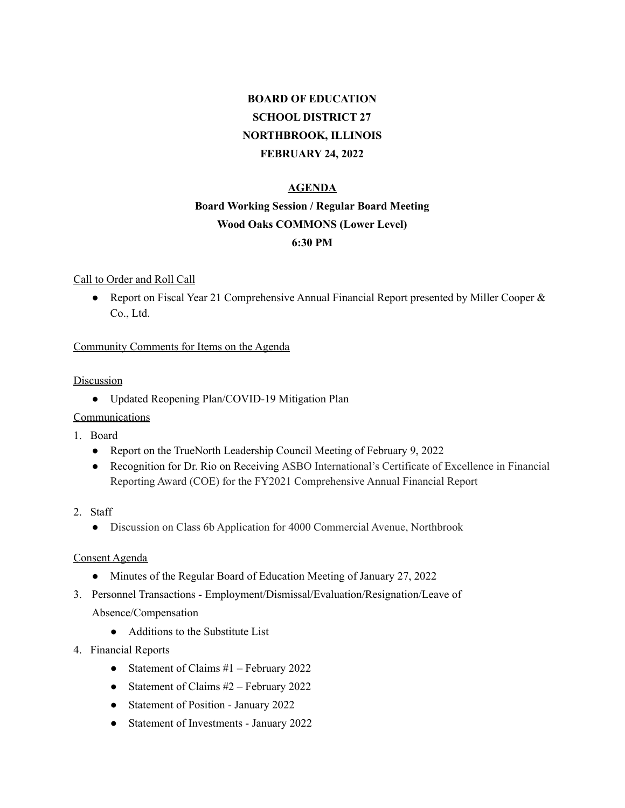# **BOARD OF EDUCATION SCHOOL DISTRICT 27 NORTHBROOK, ILLINOIS FEBRUARY 24, 2022**

# **AGENDA**

# **Board Working Session / Regular Board Meeting Wood Oaks COMMONS (Lower Level) 6:30 PM**

#### Call to Order and Roll Call

● Report on Fiscal Year 21 Comprehensive Annual Financial Report presented by Miller Cooper & Co., Ltd.

## Community Comments for Items on the Agenda

## **Discussion**

● Updated Reopening Plan/COVID-19 Mitigation Plan

# Communications

- 1. Board
	- Report on the TrueNorth Leadership Council Meeting of February 9, 2022
	- Recognition for Dr. Rio on Receiving ASBO International's Certificate of Excellence in Financial Reporting Award (COE) for the FY2021 Comprehensive Annual Financial Report
- 2. Staff
	- Discussion on Class 6b Application for 4000 Commercial Avenue, Northbrook

#### Consent Agenda

- Minutes of the Regular Board of Education Meeting of January 27, 2022
- 3. Personnel Transactions Employment/Dismissal/Evaluation/Resignation/Leave of Absence/Compensation
	- Additions to the Substitute List
- 4. Financial Reports
	- Statement of Claims #1 February 2022
	- Statement of Claims  $#2$  February 2022
	- Statement of Position January 2022
	- Statement of Investments January 2022